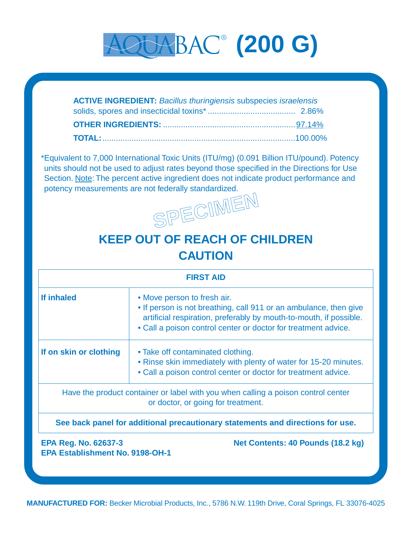# aquabac ® **(200 G)**

| <b>ACTIVE INGREDIENT:</b> Bacillus thuringiensis subspecies israelensis |  |
|-------------------------------------------------------------------------|--|
|                                                                         |  |
|                                                                         |  |
|                                                                         |  |

\*Equivalent to 7,000 International Toxic Units (ITU/mg) (0.091 Billion ITU/pound). Potency units should not be used to adjust rates beyond those specified in the Directions for Use Section. Note: The percent active ingredient does not indicate product performance and potency measurements are not federally standardized.



# **KEEP OUT OF REACH OF CHILDREN CAUTION**

| <b>FIRST AID</b>                                                                                           |                                                                                                                                                                                                                                          |  |
|------------------------------------------------------------------------------------------------------------|------------------------------------------------------------------------------------------------------------------------------------------------------------------------------------------------------------------------------------------|--|
| If inhaled                                                                                                 | • Move person to fresh air.<br>• If person is not breathing, call 911 or an ambulance, then give<br>artificial respiration, preferably by mouth-to-mouth, if possible.<br>• Call a poison control center or doctor for treatment advice. |  |
| If on skin or clothing                                                                                     | • Take off contaminated clothing.<br>• Rinse skin immediately with plenty of water for 15-20 minutes.<br>• Call a poison control center or doctor for treatment advice.                                                                  |  |
|                                                                                                            | Have the product container or label with you when calling a poison control center<br>or doctor, or going for treatment.                                                                                                                  |  |
| See back panel for additional precautionary statements and directions for use.                             |                                                                                                                                                                                                                                          |  |
| <b>EPA Reg. No. 62637-3</b><br>Net Contents: 40 Pounds (18.2 kg)<br><b>EPA Establishment No. 9198-OH-1</b> |                                                                                                                                                                                                                                          |  |